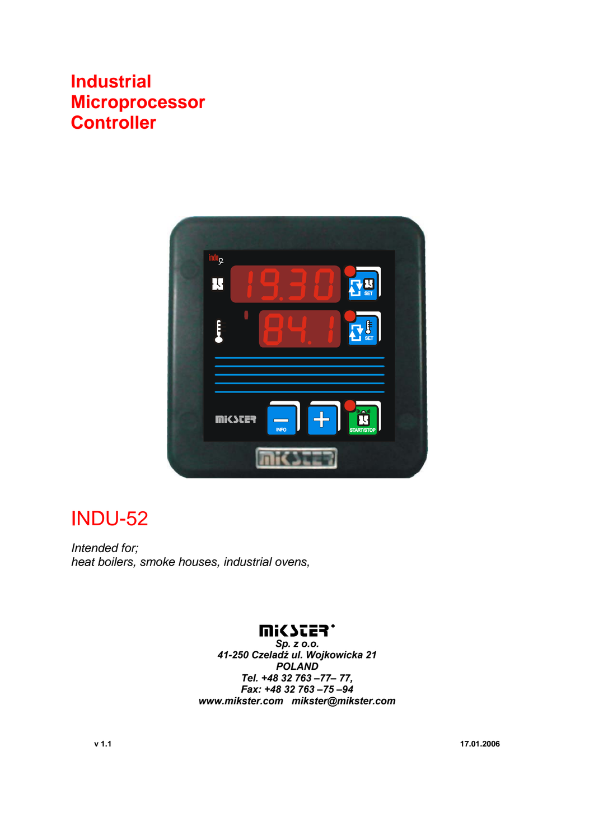# **Industrial Microprocessor Controller**



# INDU-52

*Intended for; heat boilers, smoke houses, industrial ovens,* 

## **WICZES.**

*Sp. z o.o. 41-250 Czeladź ul. Wojkowicka 21 POLAND Tel. +48 32 763 –77– 77, Fax: +48 32 763 –75 –94 www.mikster.com mikster@mikster.com*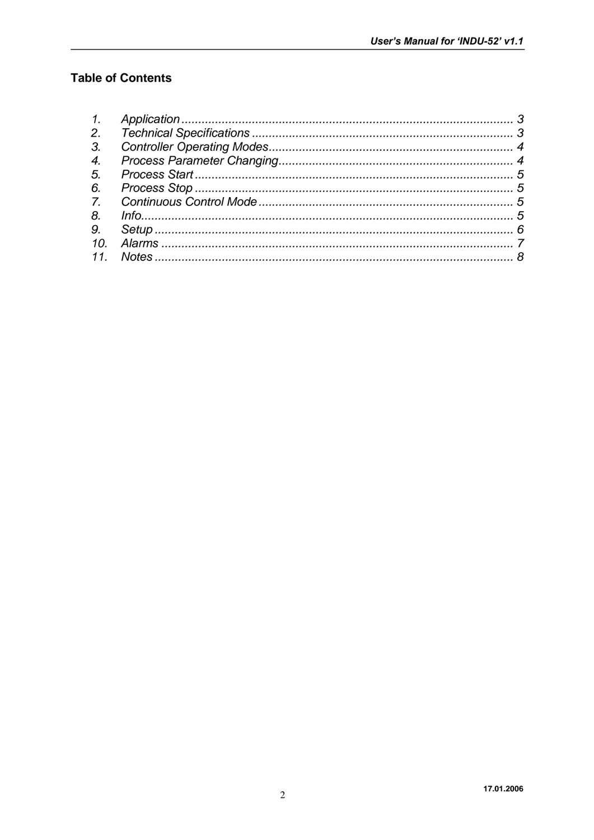### **Table of Contents**

| 3. |  |
|----|--|
| 4. |  |
| 5. |  |
| 6. |  |
|    |  |
| 8. |  |
|    |  |
|    |  |
|    |  |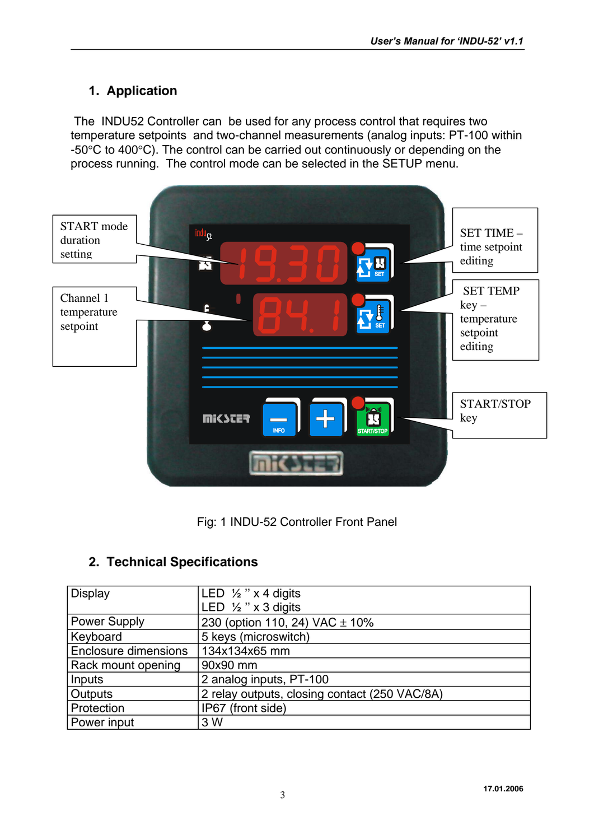### **1. Application**

 The INDU52 Controller can be used for any process control that requires two temperature setpoints and two-channel measurements (analog inputs: PT-100 within -50°C to 400°C). The control can be carried out continuously or depending on the process running. The control mode can be selected in the SETUP menu.





### **2. Technical Specifications**

| <b>Display</b>              | LED $\frac{1}{2}$ " x 4 digits                |  |  |
|-----------------------------|-----------------------------------------------|--|--|
|                             | LED $\frac{1}{2}$ " x 3 digits                |  |  |
| <b>Power Supply</b>         | 230 (option 110, 24) VAC $\pm$ 10%            |  |  |
| Keyboard                    | 5 keys (microswitch)                          |  |  |
| <b>Enclosure dimensions</b> | 134x134x65 mm                                 |  |  |
| Rack mount opening          | 90x90 mm                                      |  |  |
| Inputs                      | 2 analog inputs, PT-100                       |  |  |
| <b>Outputs</b>              | 2 relay outputs, closing contact (250 VAC/8A) |  |  |
| Protection                  | IP67 (front side)                             |  |  |
| Power input                 | 3 W                                           |  |  |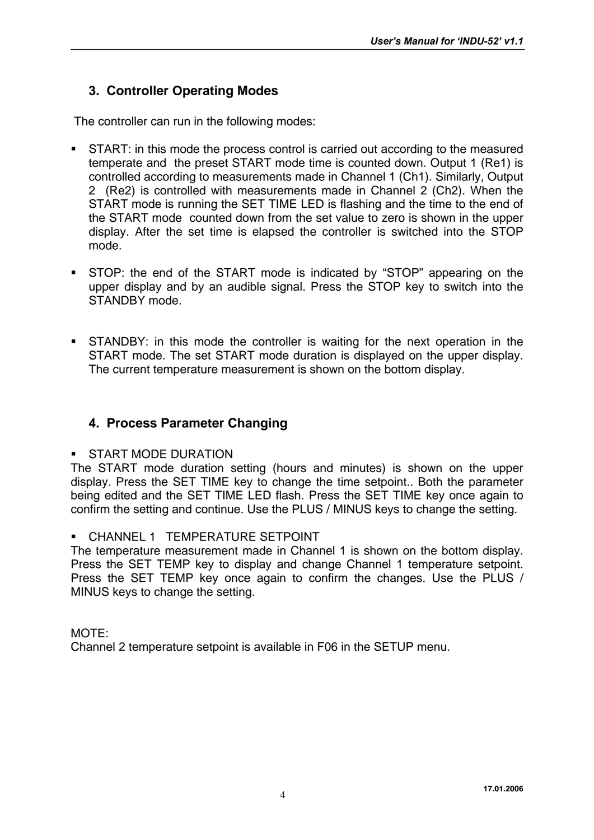### **3. Controller Operating Modes**

The controller can run in the following modes:

- START: in this mode the process control is carried out according to the measured temperate and the preset START mode time is counted down. Output 1 (Re1) is controlled according to measurements made in Channel 1 (Ch1). Similarly, Output 2 (Re2) is controlled with measurements made in Channel 2 (Ch2). When the START mode is running the SET TIME LED is flashing and the time to the end of the START mode counted down from the set value to zero is shown in the upper display. After the set time is elapsed the controller is switched into the STOP mode.
- STOP: the end of the START mode is indicated by "STOP" appearing on the upper display and by an audible signal. Press the STOP key to switch into the STANDBY mode.
- STANDBY: in this mode the controller is waiting for the next operation in the START mode. The set START mode duration is displayed on the upper display. The current temperature measurement is shown on the bottom display.

### **4. Process Parameter Changing**

#### START MODE DURATION

The START mode duration setting (hours and minutes) is shown on the upper display. Press the SET TIME key to change the time setpoint.. Both the parameter being edited and the SET TIME LED flash. Press the SET TIME key once again to confirm the setting and continue. Use the PLUS / MINUS keys to change the setting.

#### CHANNEL 1 TEMPERATURE SETPOINT

The temperature measurement made in Channel 1 is shown on the bottom display. Press the SET TEMP key to display and change Channel 1 temperature setpoint. Press the SET TEMP key once again to confirm the changes. Use the PLUS / MINUS keys to change the setting.

### MOTE: Channel 2 temperature setpoint is available in F06 in the SETUP menu.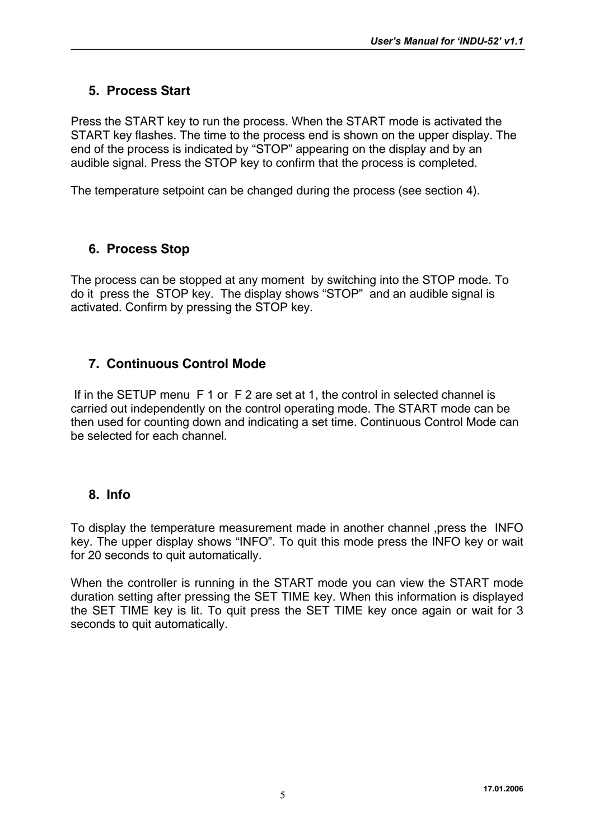### **5. Process Start**

Press the START key to run the process. When the START mode is activated the START key flashes. The time to the process end is shown on the upper display. The end of the process is indicated by "STOP" appearing on the display and by an audible signal. Press the STOP key to confirm that the process is completed.

The temperature setpoint can be changed during the process (see section 4).

### **6. Process Stop**

The process can be stopped at any moment by switching into the STOP mode. To do it press the STOP key. The display shows "STOP" and an audible signal is activated. Confirm by pressing the STOP key.

### **7. Continuous Control Mode**

 If in the SETUP menu F 1 or F 2 are set at 1, the control in selected channel is carried out independently on the control operating mode. The START mode can be then used for counting down and indicating a set time. Continuous Control Mode can be selected for each channel.

### **8. Info**

To display the temperature measurement made in another channel ,press the INFO key. The upper display shows "INFO". To quit this mode press the INFO key or wait for 20 seconds to quit automatically.

When the controller is running in the START mode you can view the START mode duration setting after pressing the SET TIME key. When this information is displayed the SET TIME key is lit. To quit press the SET TIME key once again or wait for 3 seconds to quit automatically.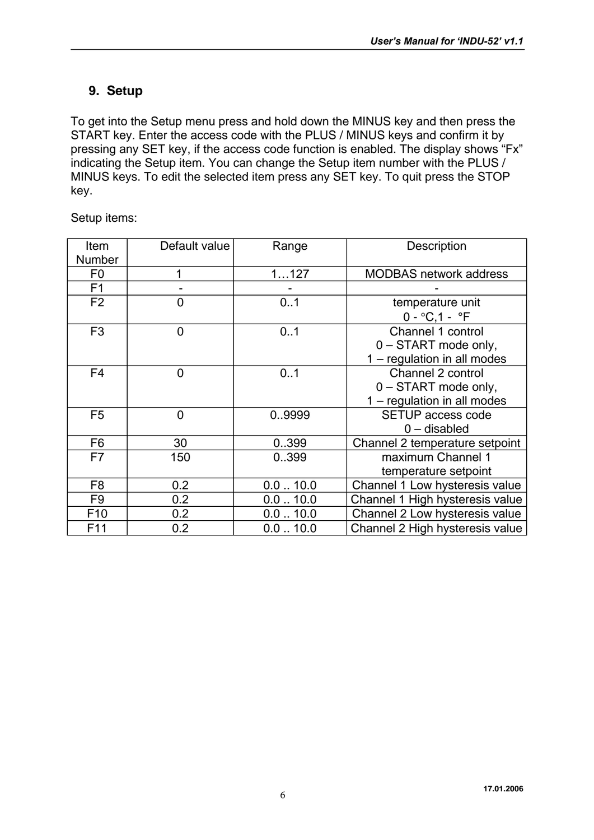### **9. Setup**

To get into the Setup menu press and hold down the MINUS key and then press the START key. Enter the access code with the PLUS / MINUS keys and confirm it by pressing any SET key, if the access code function is enabled. The display shows "Fx" indicating the Setup item. You can change the Setup item number with the PLUS / MINUS keys. To edit the selected item press any SET key. To quit press the STOP key.

| Item            | Default value  | Range               | Description                     |
|-----------------|----------------|---------------------|---------------------------------|
| Number          |                |                     |                                 |
| F <sub>0</sub>  | 1              | 1127                | <b>MODBAS</b> network address   |
| F <sub>1</sub>  |                |                     |                                 |
| F <sub>2</sub>  | $\overline{0}$ | 0.1                 | temperature unit                |
|                 |                |                     | $0 - ^{\circ}C, 1 - ^{\circ}F$  |
| F <sub>3</sub>  | 0              | 0.1                 | Channel 1 control               |
|                 |                |                     | 0 - START mode only,            |
|                 |                |                     | 1 - regulation in all modes     |
| F <sub>4</sub>  | $\overline{0}$ | 0.1                 | Channel 2 control               |
|                 |                |                     | 0 - START mode only,            |
|                 |                |                     | 1 - regulation in all modes     |
| F <sub>5</sub>  | $\overline{0}$ | 09999               | <b>SETUP access code</b>        |
|                 |                |                     | $0$ – disabled                  |
| F6              | 30             | 0399                | Channel 2 temperature setpoint  |
| F7              | 150            | 0399                | maximum Channel 1               |
|                 |                |                     | temperature setpoint            |
| F <sub>8</sub>  | 0.2            | $0.0$ $\ldots$ 10.0 | Channel 1 Low hysteresis value  |
| F <sub>9</sub>  | 0.2            | $0.0$ $\dots$ 10.0  | Channel 1 High hysteresis value |
| F <sub>10</sub> | 0.2            | $0.0$ $\ldots$ 10.0 | Channel 2 Low hysteresis value  |
| F11             | 0.2            | $0.0$ $\dots$ 10.0  | Channel 2 High hysteresis value |

Setup items: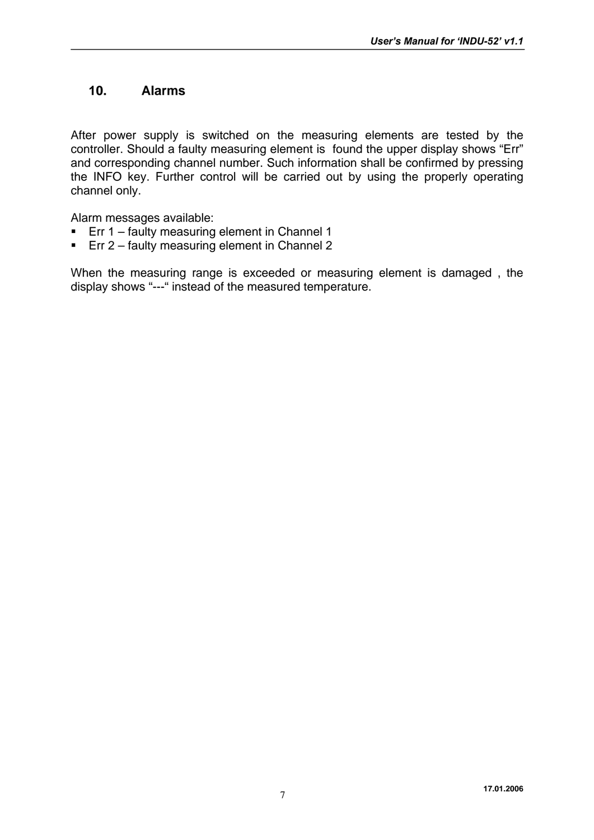### **10. Alarms**

After power supply is switched on the measuring elements are tested by the controller. Should a faulty measuring element is found the upper display shows "Err" and corresponding channel number. Such information shall be confirmed by pressing the INFO key. Further control will be carried out by using the properly operating channel only.

Alarm messages available:

- **Err 1 faulty measuring element in Channel 1**
- **Err 2 faulty measuring element in Channel 2**

When the measuring range is exceeded or measuring element is damaged , the display shows "---" instead of the measured temperature.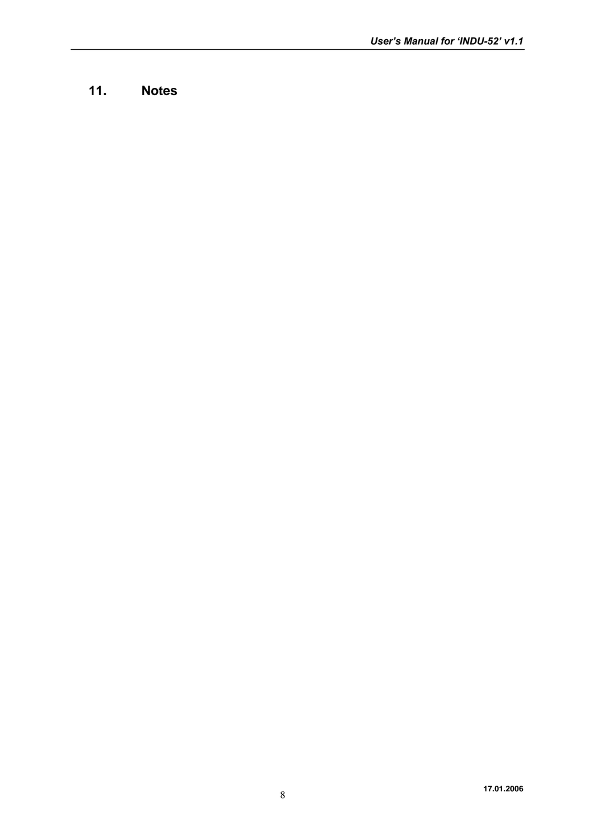### **11. Notes**